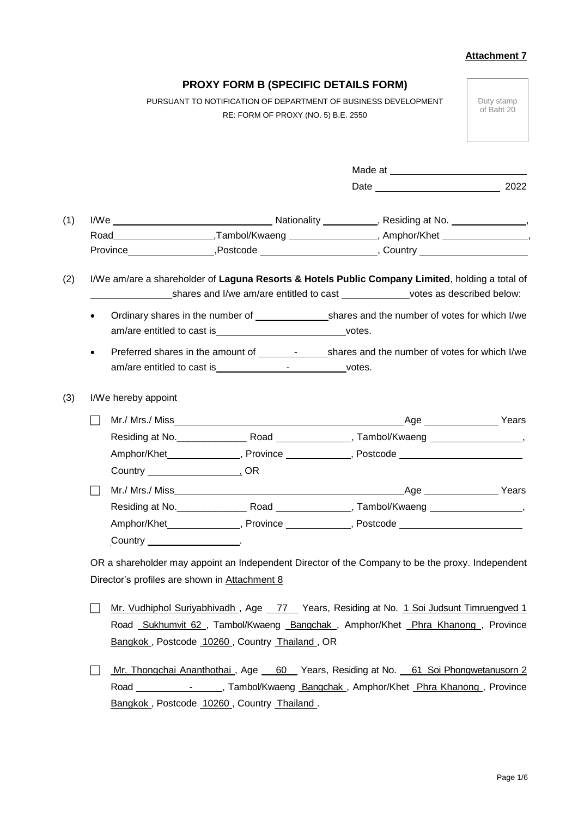|                     |                                                                   | <b>PROXY FORM B (SPECIFIC DETAILS FORM)</b> |                                                                                                  |                          |
|---------------------|-------------------------------------------------------------------|---------------------------------------------|--------------------------------------------------------------------------------------------------|--------------------------|
|                     |                                                                   | RE: FORM OF PROXY (NO. 5) B.E. 2550         | PURSUANT TO NOTIFICATION OF DEPARTMENT OF BUSINESS DEVELOPMENT                                   | Duty stamp<br>of Baht 20 |
|                     |                                                                   |                                             |                                                                                                  |                          |
|                     |                                                                   |                                             | Date 2022                                                                                        |                          |
|                     |                                                                   |                                             |                                                                                                  |                          |
|                     |                                                                   |                                             |                                                                                                  |                          |
|                     |                                                                   |                                             |                                                                                                  |                          |
| $\bullet$           | am/are entitled to cast is_________________________________votes. |                                             |                                                                                                  |                          |
| I/We hereby appoint |                                                                   |                                             |                                                                                                  |                          |
| $\Box$              |                                                                   |                                             |                                                                                                  |                          |
|                     |                                                                   |                                             |                                                                                                  |                          |
|                     |                                                                   |                                             | Amphor/Khet________________, Province _____________, Postcode __________________                 |                          |
|                     |                                                                   |                                             |                                                                                                  |                          |
|                     |                                                                   |                                             |                                                                                                  | Age Years                |
|                     |                                                                   |                                             | _____, Tambol/Kwaeng                                                                             |                          |
|                     |                                                                   |                                             |                                                                                                  |                          |
|                     |                                                                   |                                             | Amphor/Khet________________, Province ______________, Postcode __________________                |                          |
|                     | Country $\frac{1}{2}$                                             |                                             |                                                                                                  |                          |
|                     |                                                                   |                                             | OR a shareholder may appoint an Independent Director of the Company to be the proxy. Independent |                          |
|                     | Director's profiles are shown in Attachment 8                     |                                             |                                                                                                  |                          |
|                     |                                                                   |                                             |                                                                                                  |                          |
|                     |                                                                   |                                             | Mr. Vudhiphol Suriyabhivadh , Age _ 77 _ Years, Residing at No. 1 Soi Judsunt Timruengved 1      |                          |
|                     | Bangkok, Postcode 10260, Country Thailand, OR                     |                                             | Road Sukhumvit 62, Tambol/Kwaeng Bangchak, Amphor/Khet Phra Khanong, Province                    |                          |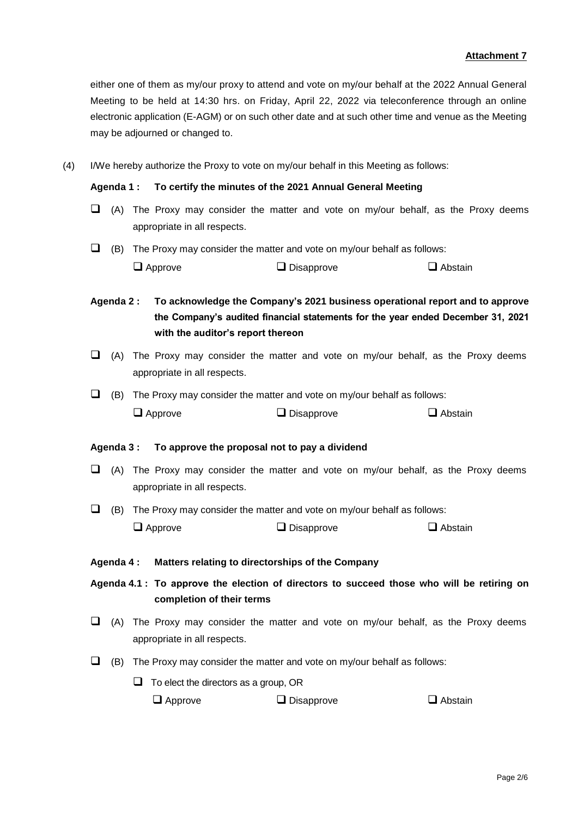either one of them as my/our proxy to attend and vote on my/our behalf at the 2022 Annual General Meeting to be held at 14:30 hrs. on Friday, April 22, 2022 via teleconference through an online electronic application (E-AGM) or on such other date and at such other time and venue as the Meeting may be adjourned or changed to.

(4) I/We hereby authorize the Proxy to vote on my/our behalf in this Meeting as follows:

## **Agenda 1 : To certify the minutes of the 2021 Annual General Meeting**

- $\Box$  (A) The Proxy may consider the matter and vote on my/our behalf, as the Proxy deems appropriate in all respects.
- $\Box$  (B) The Proxy may consider the matter and vote on my/our behalf as follows:  $\square$  Approve  $\square$  Disapprove  $\square$  Abstain

**Agenda 2 : To acknowledge the Company's 2021 business operational report and to approve the Company's audited financial statements for the year ended December 31, 2021 with the auditor's report thereon**

- $\Box$  (A) The Proxy may consider the matter and vote on my/our behalf, as the Proxy deems appropriate in all respects.
- $\Box$  (B) The Proxy may consider the matter and vote on my/our behalf as follows:  $\Box$  Approve  $\Box$  Disapprove  $\Box$  Abstain

## **Agenda 3 : To approve the proposal not to pay a dividend**

- $\Box$  (A) The Proxy may consider the matter and vote on my/our behalf, as the Proxy deems appropriate in all respects.
- $\Box$  (B) The Proxy may consider the matter and vote on my/our behalf as follows:  $\square$  Approve  $\square$  Disapprove  $\square$  Abstain
- **Agenda 4 : Matters relating to directorships of the Company**

**Agenda 4.1 : To approve the election of directors to succeed those who will be retiring on completion of their terms**

- $\Box$  (A) The Proxy may consider the matter and vote on my/our behalf, as the Proxy deems appropriate in all respects.
- $\Box$  (B) The Proxy may consider the matter and vote on my/our behalf as follows:
	- $\Box$  To elect the directors as a group, OR

| $\Box$ Approve | $\Box$ Disapprove | $\Box$ Abstain |
|----------------|-------------------|----------------|
|----------------|-------------------|----------------|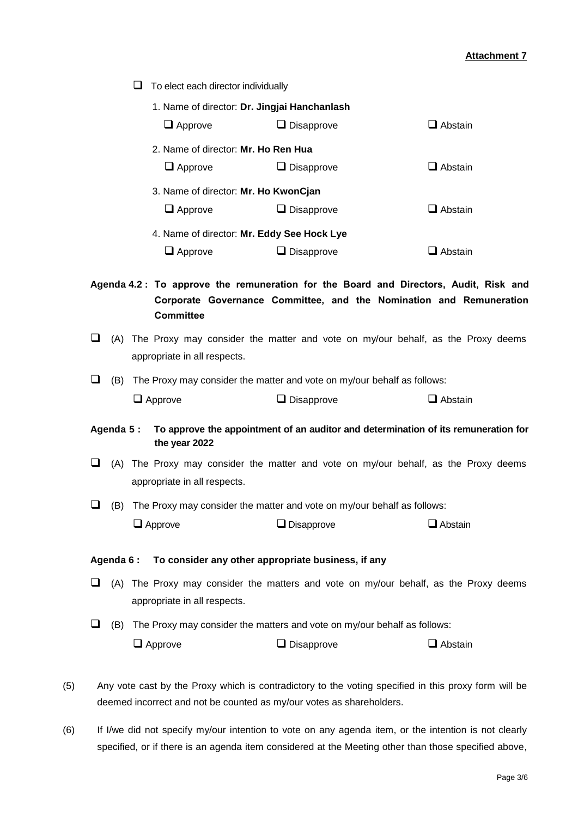$\Box$  To elect each director individually

| 1. Name of director: Dr. Jingjai Hanchanlash |                   |                  |  |
|----------------------------------------------|-------------------|------------------|--|
| $\Box$ Approve                               | $\Box$ Disapprove | $\Box$ Abstain   |  |
| 2. Name of director: Mr. Ho Ren Hua          |                   |                  |  |
| $\Box$ Approve                               | Disapprove        | $\Box$ Abstain   |  |
| 3. Name of director: Mr. Ho KwonCjan         |                   |                  |  |
| $\Box$ Approve                               | <b>Disapprove</b> | <b>□</b> Abstain |  |
| 4. Name of director: Mr. Eddy See Hock Lye   |                   |                  |  |
| l Approve                                    | <b>Disapprove</b> | Abstain          |  |

**Agenda 4.2 : To approve the remuneration for the Board and Directors, Audit, Risk and Corporate Governance Committee, and the Nomination and Remuneration Committee**

- $\Box$  (A) The Proxy may consider the matter and vote on my/our behalf, as the Proxy deems appropriate in all respects.
- $\Box$  (B) The Proxy may consider the matter and vote on my/our behalf as follows:

| $\Box$ Approve | $\Box$ Disapprove | $\Box$ Abstain |
|----------------|-------------------|----------------|
|                |                   |                |

- **Agenda 5 : To approve the appointment of an auditor and determination of its remuneration for the year 2022**
- $\Box$  (A) The Proxy may consider the matter and vote on my/our behalf, as the Proxy deems appropriate in all respects.
- $\Box$  (B) The Proxy may consider the matter and vote on my/our behalf as follows:  $\Box$  Approve  $\Box$  Disapprove  $\Box$  Abstain

## **Agenda 6 : To consider any other appropriate business, if any**

- $\Box$  (A) The Proxy may consider the matters and vote on my/our behalf, as the Proxy deems appropriate in all respects.
- $\Box$  (B) The Proxy may consider the matters and vote on my/our behalf as follows:  $\Box$  Approve  $\Box$  Disapprove  $\Box$  Abstain
- (5) Any vote cast by the Proxy which is contradictory to the voting specified in this proxy form will be deemed incorrect and not be counted as my/our votes as shareholders.
- (6) If I/we did not specify my/our intention to vote on any agenda item, or the intention is not clearly specified, or if there is an agenda item considered at the Meeting other than those specified above,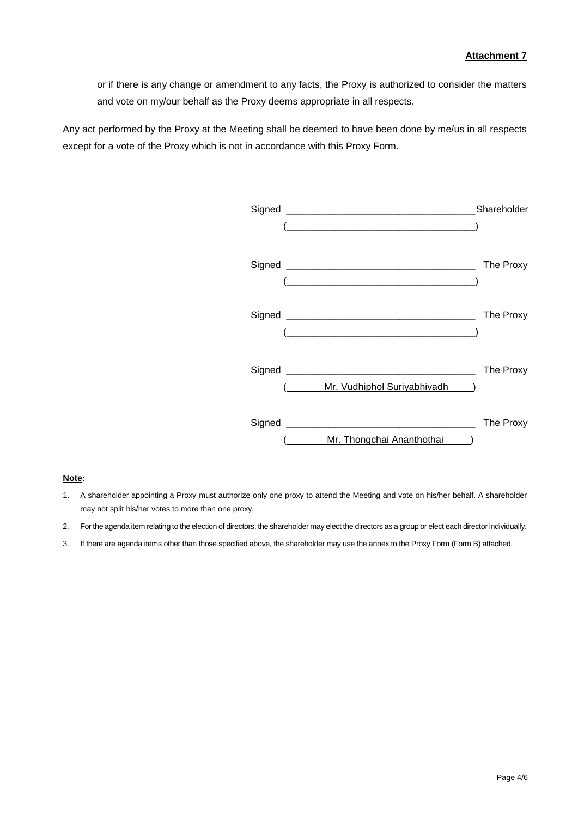or if there is any change or amendment to any facts, the Proxy is authorized to consider the matters and vote on my/our behalf as the Proxy deems appropriate in all respects.

Any act performed by the Proxy at the Meeting shall be deemed to have been done by me/us in all respects except for a vote of the Proxy which is not in accordance with this Proxy Form.



#### **Note:**

- 1. A shareholder appointing a Proxy must authorize only one proxy to attend the Meeting and vote on his/her behalf. A shareholder may not split his/her votes to more than one proxy.
- 2. For the agenda item relating to the election of directors, the shareholder may elect the directors as a group or elect each director individually.
- 3. If there are agenda items other than those specified above, the shareholder may use the annex to the Proxy Form (Form B) attached.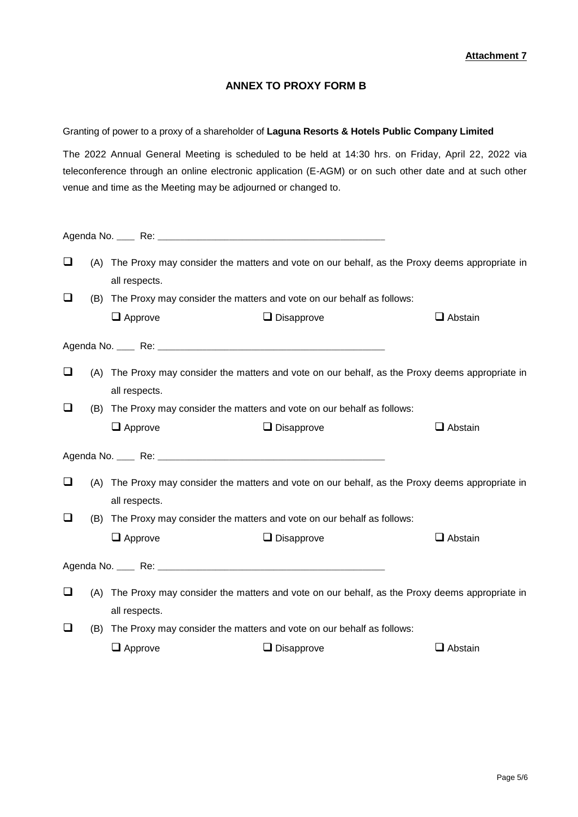# **ANNEX TO PROXY FORM B**

## Granting of power to a proxy of a shareholder of **Laguna Resorts & Hotels Public Company Limited**

The 2022 Annual General Meeting is scheduled to be held at 14:30 hrs. on Friday, April 22, 2022 via teleconference through an online electronic application (E-AGM) or on such other date and at such other venue and time as the Meeting may be adjourned or changed to.

| $\Box$ |     | all respects.                                                             | (A) The Proxy may consider the matters and vote on our behalf, as the Proxy deems appropriate in |                |
|--------|-----|---------------------------------------------------------------------------|--------------------------------------------------------------------------------------------------|----------------|
| ❏      |     | (B) The Proxy may consider the matters and vote on our behalf as follows: |                                                                                                  |                |
|        |     | $\Box$ Approve                                                            | $\Box$ Disapprove                                                                                | $\Box$ Abstain |
|        |     |                                                                           |                                                                                                  |                |
| ❏      |     | all respects.                                                             | (A) The Proxy may consider the matters and vote on our behalf, as the Proxy deems appropriate in |                |
| ❏      |     | (B) The Proxy may consider the matters and vote on our behalf as follows: |                                                                                                  |                |
|        |     | $\Box$ Approve                                                            | $\Box$ Disapprove                                                                                | $\Box$ Abstain |
|        |     |                                                                           |                                                                                                  |                |
| ❏      |     |                                                                           | (A) The Proxy may consider the matters and vote on our behalf, as the Proxy deems appropriate in |                |
|        |     | all respects.                                                             |                                                                                                  |                |
| $\Box$ |     | (B) The Proxy may consider the matters and vote on our behalf as follows: |                                                                                                  |                |
|        |     | $\Box$ Approve                                                            | $\Box$ Disapprove                                                                                | $\Box$ Abstain |
|        |     |                                                                           |                                                                                                  |                |
| $\Box$ |     |                                                                           | (A) The Proxy may consider the matters and vote on our behalf, as the Proxy deems appropriate in |                |
|        |     |                                                                           |                                                                                                  |                |
|        |     | all respects.                                                             |                                                                                                  |                |
| □      | (B) | The Proxy may consider the matters and vote on our behalf as follows:     |                                                                                                  |                |
|        |     | $\Box$ Approve                                                            | $\Box$ Disapprove                                                                                | $\Box$ Abstain |